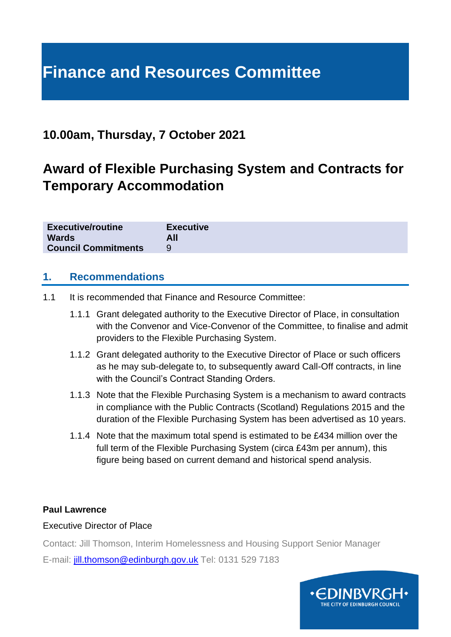# **Finance and Resources Committee**

# **10.00am, Thursday, 7 October 2021**

# **Award of Flexible Purchasing System and Contracts for Temporary Accommodation**

| <b>Executive/routine</b>   | <b>Executive</b> |
|----------------------------|------------------|
| <b>Wards</b>               | All              |
| <b>Council Commitments</b> |                  |

#### **1. Recommendations**

- 1.1 It is recommended that Finance and Resource Committee:
	- 1.1.1 Grant delegated authority to the Executive Director of Place, in consultation with the Convenor and Vice-Convenor of the Committee, to finalise and admit providers to the Flexible Purchasing System.
	- 1.1.2 Grant delegated authority to the Executive Director of Place or such officers as he may sub-delegate to, to subsequently award Call-Off contracts, in line with the Council's Contract Standing Orders.
	- 1.1.3 Note that the Flexible Purchasing System is a mechanism to award contracts in compliance with the Public Contracts (Scotland) Regulations 2015 and the duration of the Flexible Purchasing System has been advertised as 10 years.
	- 1.1.4 Note that the maximum total spend is estimated to be £434 million over the full term of the Flexible Purchasing System (circa £43m per annum), this figure being based on current demand and historical spend analysis.

#### **Paul Lawrence**

#### Executive Director of Place

Contact: Jill Thomson, Interim Homelessness and Housing Support Senior Manager

E-mail: [jill.thomson@edinburgh.gov.uk](mailto:jill.thomson@edinburgh.gov.uk) Tel: 0131 529 7183

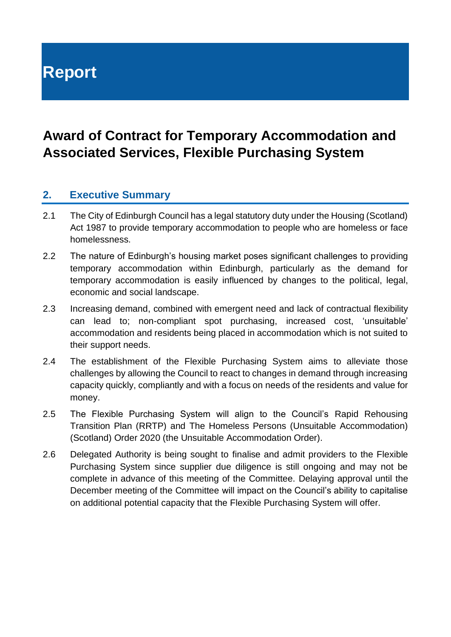# **Report**

# **Award of Contract for Temporary Accommodation and Associated Services, Flexible Purchasing System**

# **2. Executive Summary**

- 2.1 The City of Edinburgh Council has a legal statutory duty under the Housing (Scotland) Act 1987 to provide temporary accommodation to people who are homeless or face homelessness.
- 2.2 The nature of Edinburgh's housing market poses significant challenges to providing temporary accommodation within Edinburgh, particularly as the demand for temporary accommodation is easily influenced by changes to the political, legal, economic and social landscape.
- 2.3 Increasing demand, combined with emergent need and lack of contractual flexibility can lead to; non-compliant spot purchasing, increased cost, 'unsuitable' accommodation and residents being placed in accommodation which is not suited to their support needs.
- 2.4 The establishment of the Flexible Purchasing System aims to alleviate those challenges by allowing the Council to react to changes in demand through increasing capacity quickly, compliantly and with a focus on needs of the residents and value for money.
- 2.5 The Flexible Purchasing System will align to the Council's Rapid Rehousing Transition Plan (RRTP) and The Homeless Persons (Unsuitable Accommodation) (Scotland) Order 2020 (the Unsuitable Accommodation Order).
- 2.6 Delegated Authority is being sought to finalise and admit providers to the Flexible Purchasing System since supplier due diligence is still ongoing and may not be complete in advance of this meeting of the Committee. Delaying approval until the December meeting of the Committee will impact on the Council's ability to capitalise on additional potential capacity that the Flexible Purchasing System will offer.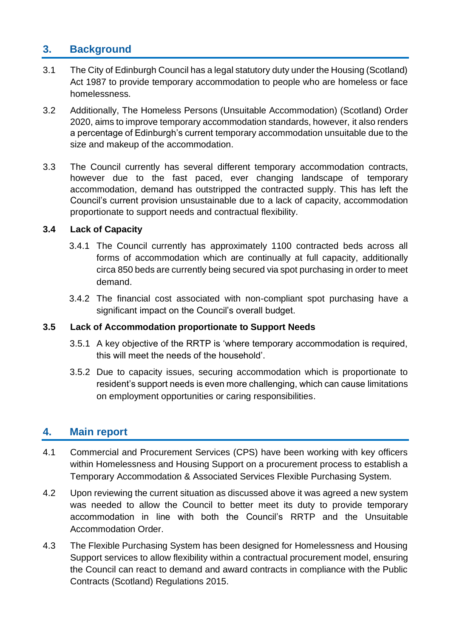# **3. Background**

- 3.1 The City of Edinburgh Council has a legal statutory duty under the Housing (Scotland) Act 1987 to provide temporary accommodation to people who are homeless or face homelessness.
- 3.2 Additionally, The Homeless Persons (Unsuitable Accommodation) (Scotland) Order 2020, aims to improve temporary accommodation standards, however, it also renders a percentage of Edinburgh's current temporary accommodation unsuitable due to the size and makeup of the accommodation.
- 3.3 The Council currently has several different temporary accommodation contracts, however due to the fast paced, ever changing landscape of temporary accommodation, demand has outstripped the contracted supply. This has left the Council's current provision unsustainable due to a lack of capacity, accommodation proportionate to support needs and contractual flexibility.

#### **3.4 Lack of Capacity**

- 3.4.1 The Council currently has approximately 1100 contracted beds across all forms of accommodation which are continually at full capacity, additionally circa 850 beds are currently being secured via spot purchasing in order to meet demand.
- 3.4.2 The financial cost associated with non-compliant spot purchasing have a significant impact on the Council's overall budget.

#### **3.5 Lack of Accommodation proportionate to Support Needs**

- 3.5.1 A key objective of the RRTP is 'where temporary accommodation is required, this will meet the needs of the household'.
- 3.5.2 Due to capacity issues, securing accommodation which is proportionate to resident's support needs is even more challenging, which can cause limitations on employment opportunities or caring responsibilities.

#### **4. Main report**

- 4.1 Commercial and Procurement Services (CPS) have been working with key officers within Homelessness and Housing Support on a procurement process to establish a Temporary Accommodation & Associated Services Flexible Purchasing System.
- 4.2 Upon reviewing the current situation as discussed above it was agreed a new system was needed to allow the Council to better meet its duty to provide temporary accommodation in line with both the Council's RRTP and the Unsuitable Accommodation Order.
- 4.3 The Flexible Purchasing System has been designed for Homelessness and Housing Support services to allow flexibility within a contractual procurement model, ensuring the Council can react to demand and award contracts in compliance with the Public Contracts (Scotland) Regulations 2015.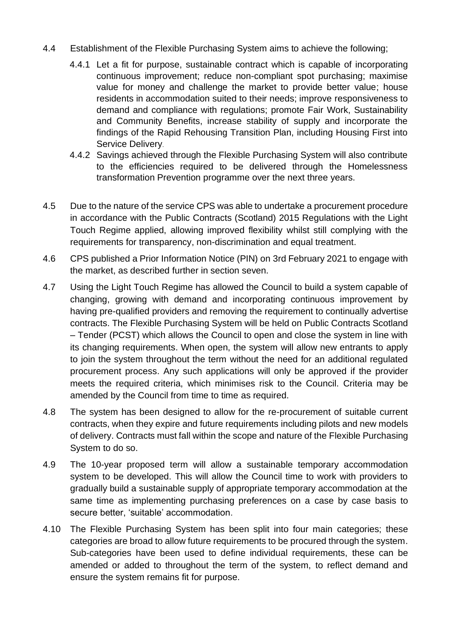- 4.4 Establishment of the Flexible Purchasing System aims to achieve the following;
	- 4.4.1 Let a fit for purpose, sustainable contract which is capable of incorporating continuous improvement; reduce non-compliant spot purchasing; maximise value for money and challenge the market to provide better value; house residents in accommodation suited to their needs; improve responsiveness to demand and compliance with regulations; promote Fair Work, Sustainability and Community Benefits, increase stability of supply and incorporate the findings of the Rapid Rehousing Transition Plan, including Housing First into Service Delivery.
	- 4.4.2 Savings achieved through the Flexible Purchasing System will also contribute to the efficiencies required to be delivered through the Homelessness transformation Prevention programme over the next three years.
- 4.5 Due to the nature of the service CPS was able to undertake a procurement procedure in accordance with the Public Contracts (Scotland) 2015 Regulations with the Light Touch Regime applied, allowing improved flexibility whilst still complying with the requirements for transparency, non-discrimination and equal treatment.
- 4.6 CPS published a Prior Information Notice (PIN) on 3rd February 2021 to engage with the market, as described further in section seven.
- 4.7 Using the Light Touch Regime has allowed the Council to build a system capable of changing, growing with demand and incorporating continuous improvement by having pre-qualified providers and removing the requirement to continually advertise contracts. The Flexible Purchasing System will be held on Public Contracts Scotland – Tender (PCST) which allows the Council to open and close the system in line with its changing requirements. When open, the system will allow new entrants to apply to join the system throughout the term without the need for an additional regulated procurement process. Any such applications will only be approved if the provider meets the required criteria, which minimises risk to the Council. Criteria may be amended by the Council from time to time as required.
- 4.8 The system has been designed to allow for the re-procurement of suitable current contracts, when they expire and future requirements including pilots and new models of delivery. Contracts must fall within the scope and nature of the Flexible Purchasing System to do so.
- 4.9 The 10-year proposed term will allow a sustainable temporary accommodation system to be developed. This will allow the Council time to work with providers to gradually build a sustainable supply of appropriate temporary accommodation at the same time as implementing purchasing preferences on a case by case basis to secure better, 'suitable' accommodation.
- 4.10 The Flexible Purchasing System has been split into four main categories; these categories are broad to allow future requirements to be procured through the system. Sub-categories have been used to define individual requirements, these can be amended or added to throughout the term of the system, to reflect demand and ensure the system remains fit for purpose.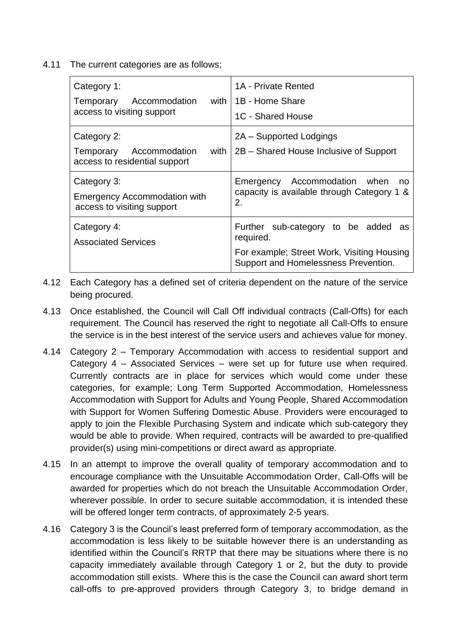4.11 The current categories are as follows;

| Category 1:<br>with  <br>Accommodation<br>Temporary<br>access to visiting support  | 1A - Private Rented<br>1B - Home Share<br>1C - Shared House                                                                               |
|------------------------------------------------------------------------------------|-------------------------------------------------------------------------------------------------------------------------------------------|
| Category 2:<br>with<br>Accommodation<br>Temporary<br>access to residential support | 2A – Supported Lodgings<br>2B – Shared House Inclusive of Support                                                                         |
| Category 3:<br><b>Emergency Accommodation with</b><br>access to visiting support   | Emergency Accommodation when<br>no<br>capacity is available through Category 1 &<br>2.                                                    |
| Category 4:<br><b>Associated Services</b>                                          | Further sub-category to be added<br>as<br>required.<br>For example; Street Work, Visiting Housing<br>Support and Homelessness Prevention. |

- 4.12 Each Category has a defined set of criteria dependent on the nature of the service being procured.
- 4.13 Once established, the Council will Call Off individual contracts (Call-Offs) for each requirement. The Council has reserved the right to negotiate all Call-Offs to ensure the service is in the best interest of the service users and achieves value for money.
- 4.14 Category 2 Temporary Accommodation with access to residential support and Category 4 – Associated Services – were set up for future use when required. Currently contracts are in place for services which would come under these categories, for example; Long Term Supported Accommodation, Homelessness Accommodation with Support for Adults and Young People, Shared Accommodation with Support for Women Suffering Domestic Abuse. Providers were encouraged to apply to join the Flexible Purchasing System and indicate which sub-category they would be able to provide. When required, contracts will be awarded to pre-qualified provider(s) using mini-competitions or direct award as appropriate.
- 4.15 In an attempt to improve the overall quality of temporary accommodation and to encourage compliance with the Unsuitable Accommodation Order, Call-Offs will be awarded for properties which do not breach the Unsuitable Accommodation Order, wherever possible. In order to secure suitable accommodation, it is intended these will be offered longer term contracts, of approximately 2-5 years.
- 4.16 Category 3 is the Council's least preferred form of temporary accommodation, as the accommodation is less likely to be suitable however there is an understanding as identified within the Council's RRTP that there may be situations where there is no capacity immediately available through Category 1 or 2, but the duty to provide accommodation still exists. Where this is the case the Council can award short term call-offs to pre-approved providers through Category 3, to bridge demand in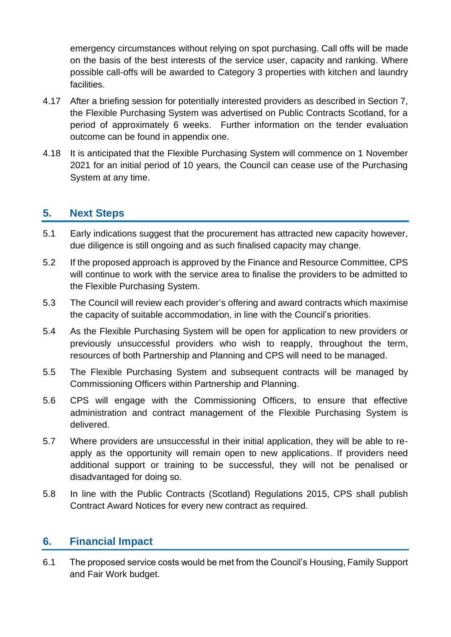emergency circumstances without relying on spot purchasing. Call offs will be made on the basis of the best interests of the service user, capacity and ranking. Where possible call-offs will be awarded to Category 3 properties with kitchen and laundry facilities.

- 4.17 After a briefing session for potentially interested providers as described in Section 7, the Flexible Purchasing System was advertised on Public Contracts Scotland, for a period of approximately 6 weeks. Further information on the tender evaluation outcome can be found in appendix one.
- 4.18 It is anticipated that the Flexible Purchasing System will commence on 1 November 2021 for an initial period of 10 years, the Council can cease use of the Purchasing System at any time.

### **5. Next Steps**

- 5.1 Early indications suggest that the procurement has attracted new capacity however, due diligence is still ongoing and as such finalised capacity may change.
- 5.2 If the proposed approach is approved by the Finance and Resource Committee, CPS will continue to work with the service area to finalise the providers to be admitted to the Flexible Purchasing System.
- 5.3 The Council will review each provider's offering and award contracts which maximise the capacity of suitable accommodation, in line with the Council's priorities.
- 5.4 As the Flexible Purchasing System will be open for application to new providers or previously unsuccessful providers who wish to reapply, throughout the term, resources of both Partnership and Planning and CPS will need to be managed.
- 5.5 The Flexible Purchasing System and subsequent contracts will be managed by Commissioning Officers within Partnership and Planning.
- 5.6 CPS will engage with the Commissioning Officers, to ensure that effective administration and contract management of the Flexible Purchasing System is delivered.
- 5.7 Where providers are unsuccessful in their initial application, they will be able to reapply as the opportunity will remain open to new applications. If providers need additional support or training to be successful, they will not be penalised or disadvantaged for doing so.
- 5.8 In line with the Public Contracts (Scotland) Regulations 2015, CPS shall publish Contract Award Notices for every new contract as required.

#### **6. Financial Impact**

6.1 The proposed service costs would be met from the Council's Housing, Family Support and Fair Work budget.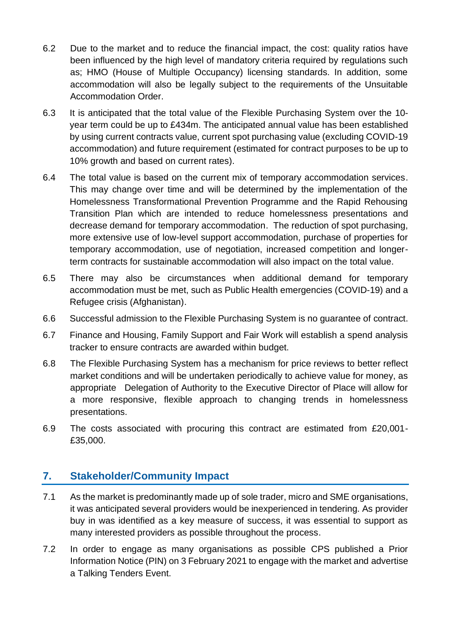- 6.2 Due to the market and to reduce the financial impact, the cost: quality ratios have been influenced by the high level of mandatory criteria required by regulations such as; HMO (House of Multiple Occupancy) licensing standards. In addition, some accommodation will also be legally subject to the requirements of the Unsuitable Accommodation Order.
- 6.3 It is anticipated that the total value of the Flexible Purchasing System over the 10 year term could be up to £434m. The anticipated annual value has been established by using current contracts value, current spot purchasing value (excluding COVID-19 accommodation) and future requirement (estimated for contract purposes to be up to 10% growth and based on current rates).
- 6.4 The total value is based on the current mix of temporary accommodation services. This may change over time and will be determined by the implementation of the Homelessness Transformational Prevention Programme and the Rapid Rehousing Transition Plan which are intended to reduce homelessness presentations and decrease demand for temporary accommodation. The reduction of spot purchasing, more extensive use of low-level support accommodation, purchase of properties for temporary accommodation, use of negotiation, increased competition and longerterm contracts for sustainable accommodation will also impact on the total value.
- 6.5 There may also be circumstances when additional demand for temporary accommodation must be met, such as Public Health emergencies (COVID-19) and a Refugee crisis (Afghanistan).
- 6.6 Successful admission to the Flexible Purchasing System is no guarantee of contract.
- 6.7 Finance and Housing, Family Support and Fair Work will establish a spend analysis tracker to ensure contracts are awarded within budget.
- 6.8 The Flexible Purchasing System has a mechanism for price reviews to better reflect market conditions and will be undertaken periodically to achieve value for money, as appropriate Delegation of Authority to the Executive Director of Place will allow for a more responsive, flexible approach to changing trends in homelessness presentations.
- 6.9 The costs associated with procuring this contract are estimated from £20,001- £35,000.

# **7. Stakeholder/Community Impact**

- 7.1 As the market is predominantly made up of sole trader, micro and SME organisations, it was anticipated several providers would be inexperienced in tendering. As provider buy in was identified as a key measure of success, it was essential to support as many interested providers as possible throughout the process.
- 7.2 In order to engage as many organisations as possible CPS published a Prior Information Notice (PIN) on 3 February 2021 to engage with the market and advertise a Talking Tenders Event.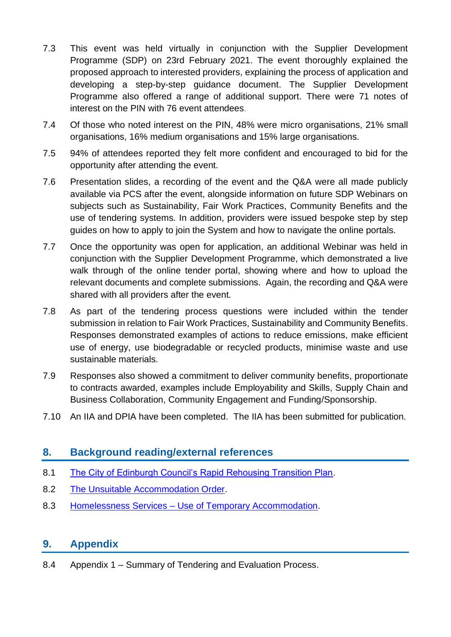- 7.3 This event was held virtually in conjunction with the Supplier Development Programme (SDP) on 23rd February 2021. The event thoroughly explained the proposed approach to interested providers, explaining the process of application and developing a step-by-step guidance document. The Supplier Development Programme also offered a range of additional support. There were 71 notes of interest on the PIN with 76 event attendees.
- 7.4 Of those who noted interest on the PIN, 48% were micro organisations, 21% small organisations, 16% medium organisations and 15% large organisations.
- 7.5 94% of attendees reported they felt more confident and encouraged to bid for the opportunity after attending the event.
- 7.6 Presentation slides, a recording of the event and the Q&A were all made publicly available via PCS after the event, alongside information on future SDP Webinars on subjects such as Sustainability, Fair Work Practices, Community Benefits and the use of tendering systems. In addition, providers were issued bespoke step by step guides on how to apply to join the System and how to navigate the online portals.
- 7.7 Once the opportunity was open for application, an additional Webinar was held in conjunction with the Supplier Development Programme, which demonstrated a live walk through of the online tender portal, showing where and how to upload the relevant documents and complete submissions. Again, the recording and Q&A were shared with all providers after the event.
- 7.8 As part of the tendering process questions were included within the tender submission in relation to Fair Work Practices, Sustainability and Community Benefits. Responses demonstrated examples of actions to reduce emissions, make efficient use of energy, use biodegradable or recycled products, minimise waste and use sustainable materials.
- 7.9 Responses also showed a commitment to deliver community benefits, proportionate to contracts awarded, examples include Employability and Skills, Supply Chain and Business Collaboration, Community Engagement and Funding/Sponsorship.
- 7.10 An IIA and DPIA have been completed. The IIA has been submitted for publication.

# **8. Background reading/external references**

- 8.1 [The City of Edinburgh Council's Rapid Rehousing Transition Plan.](https://democracy.edinburgh.gov.uk/ieListDocuments.aspx?CId=141&MId=5701&Ver=4)
- 8.2 [The Unsuitable Accommodation Order.](https://www.gov.scot/publications/amendment-homeless-persons-unsuitable-accommodation-scotland-order-2020-bria/)
- 8.3 Homelessness Services [Use of Temporary Accommodation.](https://democracy.edinburgh.gov.uk/ieListDocuments.aspx?CId=140&MId=5562&Ver=4)

# **9. Appendix**

8.4 Appendix 1 – Summary of Tendering and Evaluation Process.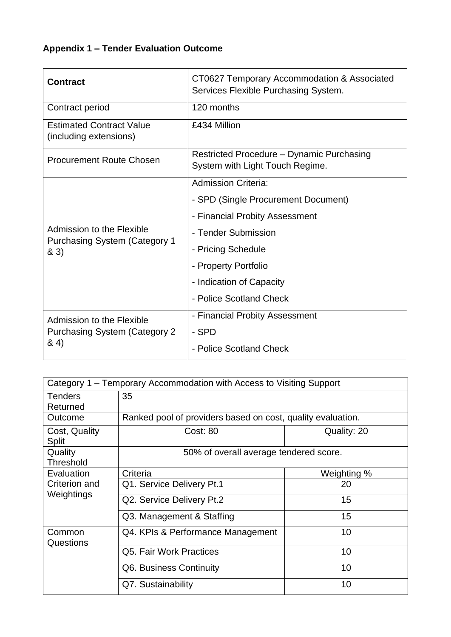# **Appendix 1 – Tender Evaluation Outcome**

| <b>Contract</b>                                                            | CT0627 Temporary Accommodation & Associated<br>Services Flexible Purchasing System. |
|----------------------------------------------------------------------------|-------------------------------------------------------------------------------------|
| Contract period                                                            | 120 months                                                                          |
| <b>Estimated Contract Value</b><br>(including extensions)                  | £434 Million                                                                        |
| <b>Procurement Route Chosen</b>                                            | Restricted Procedure – Dynamic Purchasing<br>System with Light Touch Regime.        |
|                                                                            | <b>Admission Criteria:</b>                                                          |
|                                                                            | - SPD (Single Procurement Document)                                                 |
|                                                                            | - Financial Probity Assessment                                                      |
| Admission to the Flexible<br><b>Purchasing System (Category 1)</b><br>& 3) | - Tender Submission                                                                 |
|                                                                            | - Pricing Schedule                                                                  |
|                                                                            | - Property Portfolio                                                                |
|                                                                            | - Indication of Capacity                                                            |
|                                                                            | - Police Scotland Check                                                             |
| Admission to the Flexible                                                  | - Financial Probity Assessment                                                      |
| <b>Purchasing System (Category 2)</b>                                      | - SPD                                                                               |
| 84)                                                                        | - Police Scotland Check                                                             |

|                                           | Category 1 – Temporary Accommodation with Access to Visiting Support |             |
|-------------------------------------------|----------------------------------------------------------------------|-------------|
| <b>Tenders</b><br>Returned                | 35                                                                   |             |
| Outcome                                   | Ranked pool of providers based on cost, quality evaluation.          |             |
| Cost, Quality<br><b>Split</b>             | <b>Cost: 80</b>                                                      | Quality: 20 |
| Quality<br>Threshold                      | 50% of overall average tendered score.                               |             |
| Evaluation<br>Criterion and<br>Weightings | Criteria                                                             | Weighting % |
|                                           | Q1. Service Delivery Pt.1                                            | 20          |
|                                           | Q2. Service Delivery Pt.2                                            | 15          |
|                                           | Q3. Management & Staffing                                            | 15          |
| Common<br>Questions                       | Q4. KPIs & Performance Management                                    | 10          |
|                                           | Q5. Fair Work Practices                                              | 10          |
|                                           | Q6. Business Continuity                                              | 10          |
|                                           | Q7. Sustainability                                                   | 10          |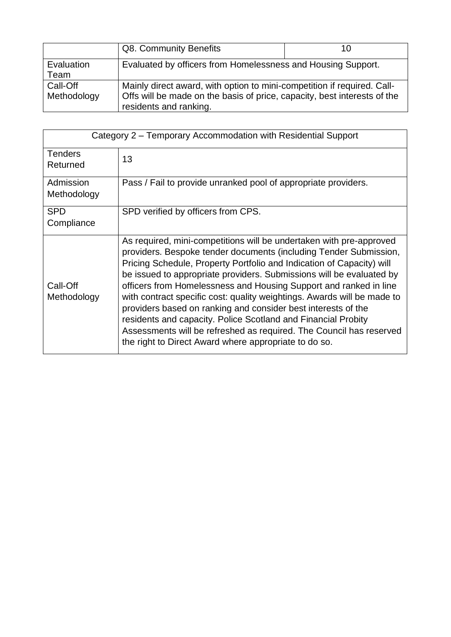|                         | Q8. Community Benefits                                                                                                                                                        | 10 |
|-------------------------|-------------------------------------------------------------------------------------------------------------------------------------------------------------------------------|----|
| Evaluation<br>Team      | Evaluated by officers from Homelessness and Housing Support.                                                                                                                  |    |
| Call-Off<br>Methodology | Mainly direct award, with option to mini-competition if required. Call-<br>Offs will be made on the basis of price, capacity, best interests of the<br>residents and ranking. |    |

| Category 2 – Temporary Accommodation with Residential Support |                                                                                                                                                                                                                                                                                                                                                                                                                                                                                                                                                                                                                                                                                                             |
|---------------------------------------------------------------|-------------------------------------------------------------------------------------------------------------------------------------------------------------------------------------------------------------------------------------------------------------------------------------------------------------------------------------------------------------------------------------------------------------------------------------------------------------------------------------------------------------------------------------------------------------------------------------------------------------------------------------------------------------------------------------------------------------|
| <b>Tenders</b><br>Returned                                    | 13                                                                                                                                                                                                                                                                                                                                                                                                                                                                                                                                                                                                                                                                                                          |
| Admission<br>Methodology                                      | Pass / Fail to provide unranked pool of appropriate providers.                                                                                                                                                                                                                                                                                                                                                                                                                                                                                                                                                                                                                                              |
| <b>SPD</b><br>Compliance                                      | SPD verified by officers from CPS.                                                                                                                                                                                                                                                                                                                                                                                                                                                                                                                                                                                                                                                                          |
| Call-Off<br>Methodology                                       | As required, mini-competitions will be undertaken with pre-approved<br>providers. Bespoke tender documents (including Tender Submission,<br>Pricing Schedule, Property Portfolio and Indication of Capacity) will<br>be issued to appropriate providers. Submissions will be evaluated by<br>officers from Homelessness and Housing Support and ranked in line<br>with contract specific cost: quality weightings. Awards will be made to<br>providers based on ranking and consider best interests of the<br>residents and capacity. Police Scotland and Financial Probity<br>Assessments will be refreshed as required. The Council has reserved<br>the right to Direct Award where appropriate to do so. |